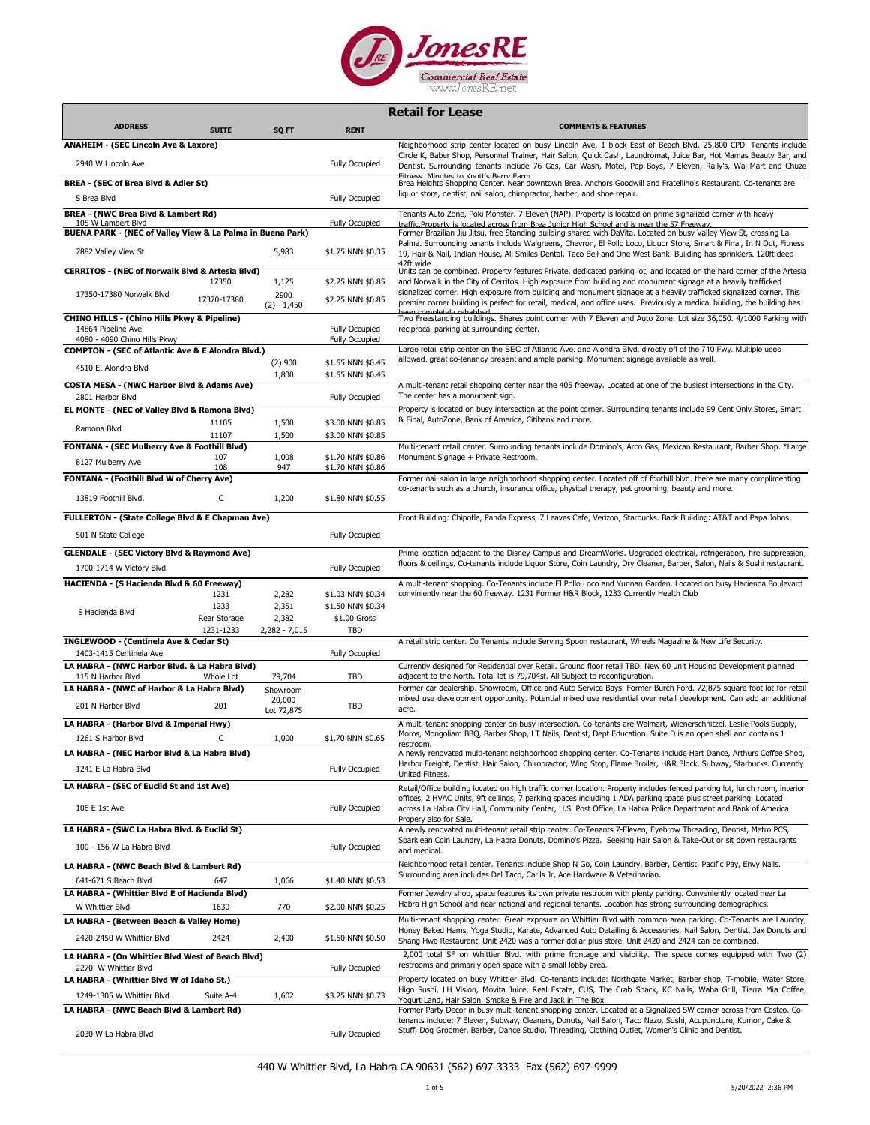

|                                                                                              |                      |                                |                                        | <b>Retail for Lease</b>                                                                                                                                                                                                                                                                                                                                          |
|----------------------------------------------------------------------------------------------|----------------------|--------------------------------|----------------------------------------|------------------------------------------------------------------------------------------------------------------------------------------------------------------------------------------------------------------------------------------------------------------------------------------------------------------------------------------------------------------|
| <b>ADDRESS</b>                                                                               | <b>SUITE</b>         | SQ FT                          | <b>RENT</b>                            | <b>COMMENTS &amp; FEATURES</b>                                                                                                                                                                                                                                                                                                                                   |
| <b>ANAHEIM - (SEC Lincoln Ave &amp; Laxore)</b>                                              |                      |                                |                                        | Neighborhood strip center located on busy Lincoln Ave, 1 block East of Beach Blvd. 25,800 CPD. Tenants include                                                                                                                                                                                                                                                   |
| 2940 W Lincoln Ave                                                                           |                      |                                | <b>Fully Occupied</b>                  | Circle K, Baber Shop, Personnal Trainer, Hair Salon, Quick Cash, Laundromat, Juice Bar, Hot Mamas Beauty Bar, and<br>Dentist. Surrounding tenants include 76 Gas, Car Wash, Motel, Pep Boys, 7 Eleven, Rally's, Wal-Mart and Chuze<br>Fitness Minutes to Knott's Berry Farm                                                                                      |
| BREA - (SEC of Brea Blvd & Adler St)                                                         |                      |                                |                                        | Brea Heights Shopping Center. Near downtown Brea. Anchors Goodwill and Fratellino's Restaurant. Co-tenants are                                                                                                                                                                                                                                                   |
| S Brea Blvd                                                                                  |                      |                                | <b>Fully Occupied</b>                  | liquor store, dentist, nail salon, chiropractor, barber, and shoe repair.                                                                                                                                                                                                                                                                                        |
| BREA - (NWC Brea Blvd & Lambert Rd)                                                          |                      |                                |                                        | Tenants Auto Zone, Poki Monster. 7-Eleven (NAP). Property is located on prime signalized corner with heavy                                                                                                                                                                                                                                                       |
| 105 W Lambert Blvd<br>BUENA PARK - (NEC of Valley View & La Palma in Buena Park)             |                      |                                | <b>Fully Occupied</b>                  | traffic Property is located across from Brea Junior High School and is near the 57 Freeway.<br>Former Brazilian Jiu Jitsu, free Standing building shared with DaVita. Located on busy Valley View St, crossing La                                                                                                                                                |
| 7882 Valley View St                                                                          |                      | 5,983                          | \$1.75 NNN \$0.35                      | Palma. Surrounding tenants include Walgreens, Chevron, El Pollo Loco, Liquor Store, Smart & Final, In N Out, Fitness<br>19, Hair & Nail, Indian House, All Smiles Dental, Taco Bell and One West Bank. Building has sprinklers. 120ft deep-<br>47ft wide                                                                                                         |
| <b>CERRITOS - (NEC of Norwalk Blvd &amp; Artesia Blvd)</b>                                   |                      |                                |                                        | Units can be combined. Property features Private, dedicated parking lot, and located on the hard corner of the Artesia                                                                                                                                                                                                                                           |
| 17350-17380 Norwalk Blvd                                                                     | 17350<br>17370-17380 | 1,125<br>2900<br>$(2) - 1,450$ | \$2.25 NNN \$0.85<br>\$2.25 NNN \$0.85 | and Norwalk in the City of Cerritos. High exposure from building and monument signage at a heavily trafficked<br>signalized corner. High exposure from building and monument signage at a heavily trafficked signalized corner. This<br>premier corner building is perfect for retail, medical, and office uses. Previously a medical building, the building has |
| <b>CHINO HILLS - (Chino Hills Pkwy &amp; Pipeline)</b><br>14864 Pipeline Ave                 |                      |                                | <b>Fully Occupied</b>                  | Two Freestanding buildings. Shares point corner with 7 Eleven and Auto Zone. Lot size 36,050. 4/1000 Parking with<br>reciprocal parking at surrounding center.                                                                                                                                                                                                   |
| 4080 - 4090 Chino Hills Pkwy<br><b>COMPTON - (SEC of Atlantic Ave &amp; E Alondra Blvd.)</b> |                      |                                | <b>Fully Occupied</b>                  | Large retail strip center on the SEC of Atlantic Ave. and Alondra Blvd. directly off of the 710 Fwy. Multiple uses                                                                                                                                                                                                                                               |
|                                                                                              |                      | $(2)$ 900                      | \$1.55 NNN \$0.45                      | allowed, great co-tenancy present and ample parking. Monument signage available as well.                                                                                                                                                                                                                                                                         |
| 4510 E. Alondra Blvd                                                                         |                      | 1,800                          | \$1.55 NNN \$0.45                      |                                                                                                                                                                                                                                                                                                                                                                  |
| COSTA MESA - (NWC Harbor Blvd & Adams Ave)<br>2801 Harbor Blvd                               |                      |                                | <b>Fully Occupied</b>                  | A multi-tenant retail shopping center near the 405 freeway. Located at one of the busiest intersections in the City.<br>The center has a monument sign.                                                                                                                                                                                                          |
| EL MONTE - (NEC of Valley Blvd & Ramona Blvd)                                                |                      |                                |                                        | Property is located on busy intersection at the point corner. Surrounding tenants include 99 Cent Only Stores, Smart<br>& Final, AutoZone, Bank of America, Citibank and more.                                                                                                                                                                                   |
| Ramona Blvd                                                                                  | 11105<br>11107       | 1,500<br>1,500                 | \$3.00 NNN \$0.85<br>\$3.00 NNN \$0.85 |                                                                                                                                                                                                                                                                                                                                                                  |
| <b>FONTANA - (SEC Mulberry Ave &amp; Foothill Blvd)</b>                                      |                      |                                |                                        | Multi-tenant retail center. Surrounding tenants include Domino's, Arco Gas, Mexican Restaurant, Barber Shop. *Large                                                                                                                                                                                                                                              |
| 8127 Mulberry Ave                                                                            | 107<br>108           | 1,008<br>947                   | \$1.70 NNN \$0.86<br>\$1.70 NNN \$0.86 | Monument Signage + Private Restroom.                                                                                                                                                                                                                                                                                                                             |
| FONTANA - (Foothill Blvd W of Cherry Ave)                                                    |                      |                                |                                        | Former nail salon in large neighborhood shopping center. Located off of foothill blvd. there are many complimenting                                                                                                                                                                                                                                              |
| 13819 Foothill Blvd.                                                                         | C                    | 1,200                          | \$1.80 NNN \$0.55                      | co-tenants such as a church, insurance office, physical therapy, pet grooming, beauty and more.                                                                                                                                                                                                                                                                  |
| FULLERTON - (State College Blvd & E Chapman Ave)                                             |                      |                                |                                        | Front Building: Chipotle, Panda Express, 7 Leaves Cafe, Verizon, Starbucks. Back Building: AT&T and Papa Johns.                                                                                                                                                                                                                                                  |
| 501 N State College                                                                          |                      |                                | <b>Fully Occupied</b>                  |                                                                                                                                                                                                                                                                                                                                                                  |
| <b>GLENDALE - (SEC Victory Blvd &amp; Raymond Ave)</b>                                       |                      |                                |                                        | Prime location adjacent to the Disney Campus and DreamWorks. Upgraded electrical, refrigeration, fire suppression,                                                                                                                                                                                                                                               |
| 1700-1714 W Victory Blvd                                                                     |                      |                                | <b>Fully Occupied</b>                  | floors & ceilings. Co-tenants include Liquor Store, Coin Laundry, Dry Cleaner, Barber, Salon, Nails & Sushi restaurant.                                                                                                                                                                                                                                          |
| HACIENDA - (S Hacienda Blvd & 60 Freeway)                                                    |                      |                                |                                        | A multi-tenant shopping. Co-Tenants include El Pollo Loco and Yunnan Garden. Located on busy Hacienda Boulevard                                                                                                                                                                                                                                                  |
|                                                                                              | 1231<br>1233         | 2,282<br>2,351                 | \$1.03 NNN \$0.34<br>\$1.50 NNN \$0.34 | conviniently near the 60 freeway. 1231 Former H&R Block, 1233 Currently Health Club                                                                                                                                                                                                                                                                              |
| S Hacienda Blvd                                                                              | Rear Storage         | 2,382                          | \$1.00 Gross                           |                                                                                                                                                                                                                                                                                                                                                                  |
|                                                                                              | 1231-1233            | 2,282 - 7,015                  | TBD                                    |                                                                                                                                                                                                                                                                                                                                                                  |
| INGLEWOOD - (Centinela Ave & Cedar St)<br>1403-1415 Centinela Ave                            |                      |                                | <b>Fully Occupied</b>                  | A retail strip center. Co Tenants include Serving Spoon restaurant, Wheels Magazine & New Life Security.                                                                                                                                                                                                                                                         |
| LA HABRA - (NWC Harbor Blvd. & La Habra Blvd)                                                |                      |                                |                                        | Currently designed for Residential over Retail. Ground floor retail TBD. New 60 unit Housing Development planned                                                                                                                                                                                                                                                 |
| 115 N Harbor Blvd                                                                            | Whole Lot            | 79,704                         | TBD                                    | adjacent to the North. Total lot is 79,704sf. All Subject to reconfiguration.                                                                                                                                                                                                                                                                                    |
| LA HABRA - (NWC of Harbor & La Habra Blvd)                                                   |                      | Showroom<br>20,000             |                                        | Former car dealership. Showroom, Office and Auto Service Bays. Former Burch Ford. 72,875 square foot lot for retail<br>mixed use development opportunity. Potential mixed use residential over retail development. Can add an additional                                                                                                                         |
| 201 N Harbor Blvd                                                                            | 201                  | Lot 72,875                     | <b>TBD</b>                             | acre.                                                                                                                                                                                                                                                                                                                                                            |
| LA HABRA - (Harbor Blvd & Imperial Hwy)                                                      |                      |                                |                                        | A multi-tenant shopping center on busy intersection. Co-tenants are Walmart, Wienerschnitzel, Leslie Pools Supply,                                                                                                                                                                                                                                               |
| 1261 S Harbor Blvd                                                                           | C                    | 1,000                          | \$1.70 NNN \$0.65                      | Moros, Mongoliam BBQ, Barber Shop, LT Nails, Dentist, Dept Education. Suite D is an open shell and contains 1                                                                                                                                                                                                                                                    |
| LA HABRA - (NEC Harbor Blvd & La Habra Blvd)                                                 |                      |                                |                                        | A newly renovated multi-tenant neighborhood shopping center. Co-Tenants include Hart Dance, Arthurs Coffee Shop,<br>Harbor Freight, Dentist, Hair Salon, Chiropractor, Wing Stop, Flame Broiler, H&R Block, Subway, Starbucks. Currently                                                                                                                         |
| 1241 E La Habra Blvd                                                                         |                      |                                | <b>Fully Occupied</b>                  | United Fitness.                                                                                                                                                                                                                                                                                                                                                  |
| LA HABRA - (SEC of Euclid St and 1st Ave)                                                    |                      |                                |                                        | Retail/Office building located on high traffic corner location. Property includes fenced parking lot, lunch room, interior                                                                                                                                                                                                                                       |
| 106 E 1st Ave                                                                                |                      |                                | Fully Occupied                         | offices, 2 HVAC Units, 9ft ceilings, 7 parking spaces including 1 ADA parking space plus street parking. Located<br>across La Habra City Hall, Community Center, U.S. Post Office, La Habra Police Department and Bank of America.<br>Propery also for Sale.                                                                                                     |
| LA HABRA - (SWC La Habra Blvd. & Euclid St)                                                  |                      |                                |                                        | A newly renovated multi-tenant retail strip center. Co-Tenants 7-Eleven, Eyebrow Threading, Dentist, Metro PCS,                                                                                                                                                                                                                                                  |
| 100 - 156 W La Habra Blvd                                                                    |                      |                                | <b>Fully Occupied</b>                  | Sparklean Coin Laundry, La Habra Donuts, Domino's Pizza. Seeking Hair Salon & Take-Out or sit down restaurants<br>and medical.                                                                                                                                                                                                                                   |
| LA HABRA - (NWC Beach Blvd & Lambert Rd)                                                     |                      |                                |                                        | Neighborhood retail center. Tenants include Shop N Go, Coin Laundry, Barber, Dentist, Pacific Pay, Envy Nails.                                                                                                                                                                                                                                                   |
| 641-671 S Beach Blvd                                                                         | 647                  | 1,066                          | \$1.40 NNN \$0.53                      | Surrounding area includes Del Taco, Car'ls Jr, Ace Hardware & Veterinarian.                                                                                                                                                                                                                                                                                      |
| LA HABRA - (Whittier Blvd E of Hacienda Blvd)<br>W Whittier Blvd                             | 1630                 | 770                            | \$2.00 NNN \$0.25                      | Former Jewelry shop, space features its own private restroom with plenty parking. Conveniently located near La<br>Habra High School and near national and regional tenants. Location has strong surrounding demographics.                                                                                                                                        |
| LA HABRA - (Between Beach & Valley Home)                                                     |                      |                                |                                        | Multi-tenant shopping center. Great exposure on Whittier Blvd with common area parking. Co-Tenants are Laundry,                                                                                                                                                                                                                                                  |
| 2420-2450 W Whittier Blvd                                                                    | 2424                 | 2,400                          | \$1.50 NNN \$0.50                      | Honey Baked Hams, Yoga Studio, Karate, Advanced Auto Detailing & Accessories, Nail Salon, Dentist, Jax Donuts and<br>Shang Hwa Restaurant. Unit 2420 was a former dollar plus store. Unit 2420 and 2424 can be combined.                                                                                                                                         |
| LA HABRA - (On Whittier Blvd West of Beach Blvd)<br>2270 W Whittier Blvd                     |                      |                                | <b>Fully Occupied</b>                  | 2,000 total SF on Whittier Blvd. with prime frontage and visibility. The space comes equipped with Two (2)<br>restrooms and primarily open space with a small lobby area.                                                                                                                                                                                        |
| LA HABRA - (Whittier Blvd W of Idaho St.)                                                    |                      |                                |                                        | Property located on busy Whittier Blvd. Co-tenants include: Northgate Market, Barber shop, T-mobile, Water Store,                                                                                                                                                                                                                                                |
| 1249-1305 W Whittier Blvd                                                                    | Suite A-4            | 1,602                          | \$3.25 NNN \$0.73                      | Higo Sushi, LH Vision, Movita Juice, Real Estate, CUS, The Crab Shack, KC Nails, Waba Grill, Tierra Mia Coffee,<br>Yogurt Land, Hair Salon, Smoke & Fire and Jack in The Box.                                                                                                                                                                                    |
| LA HABRA - (NWC Beach Blvd & Lambert Rd)                                                     |                      |                                |                                        | Former Party Decor in busy multi-tenant shopping center. Located at a Signalized SW corner across from Costco. Co-<br>tenants include; 7 Eleven, Subway, Cleaners, Donuts, Nail Salon, Taco Nazo, Sushi, Acupuncture, Kumon, Cake &                                                                                                                              |
| 2030 W La Habra Blvd                                                                         |                      |                                | <b>Fully Occupied</b>                  | Stuff, Dog Groomer, Barber, Dance Studio, Threading, Clothing Outlet, Women's Clinic and Dentist.                                                                                                                                                                                                                                                                |

## 440 W Whittier Blvd, La Habra CA 90631 (562) 697-3333 Fax (562) 697-9999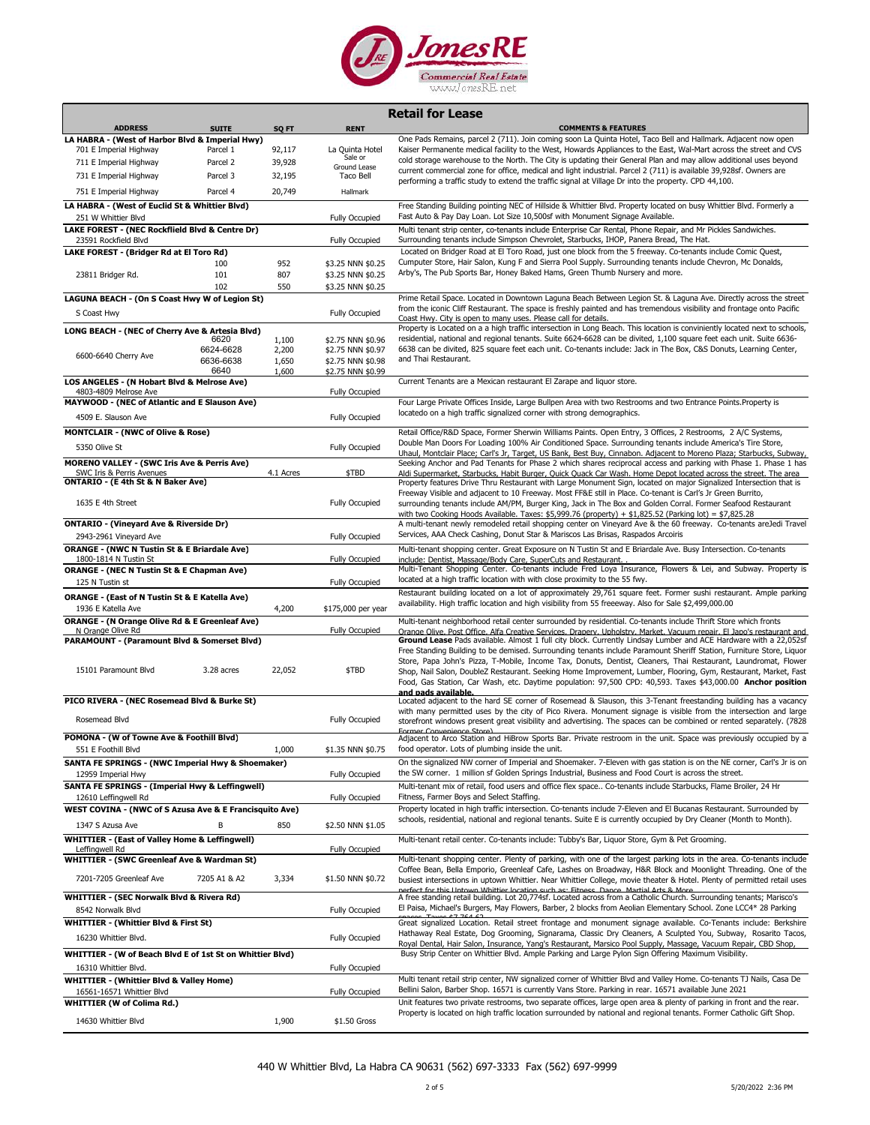

|                                                                                   |                   |                |                                        | <b>Retail for Lease</b>                                                                                                                                                                                                                    |
|-----------------------------------------------------------------------------------|-------------------|----------------|----------------------------------------|--------------------------------------------------------------------------------------------------------------------------------------------------------------------------------------------------------------------------------------------|
| <b>ADDRESS</b>                                                                    | <b>SUITE</b>      | SQ FT          | <b>RENT</b>                            | <b>COMMENTS &amp; FEATURES</b>                                                                                                                                                                                                             |
| LA HABRA - (West of Harbor Blvd & Imperial Hwy)                                   |                   |                |                                        | One Pads Remains, parcel 2 (711). Join coming soon La Quinta Hotel, Taco Bell and Hallmark. Adjacent now open                                                                                                                              |
| 701 E Imperial Highway                                                            | Parcel 1          | 92,117         | La Quinta Hotel<br>Sale or             | Kaiser Permanente medical facility to the West, Howards Appliances to the East, Wal-Mart across the street and CVS<br>cold storage warehouse to the North. The City is updating their General Plan and may allow additional uses beyond    |
| 711 E Imperial Highway                                                            | Parcel 2          | 39,928         | Ground Lease                           | current commercial zone for office, medical and light industrial. Parcel 2 (711) is available 39,928sf. Owners are                                                                                                                         |
| 731 E Imperial Highway                                                            | Parcel 3          | 32,195         | Taco Bell                              | performing a traffic study to extend the traffic signal at Village Dr into the property. CPD 44,100.                                                                                                                                       |
| 751 E Imperial Highway                                                            | Parcel 4          | 20,749         | Hallmark                               |                                                                                                                                                                                                                                            |
| LA HABRA - (West of Euclid St & Whittier Blvd)<br>251 W Whittier Blvd             |                   |                | <b>Fully Occupied</b>                  | Free Standing Building pointing NEC of Hillside & Whittier Blvd. Property located on busy Whittier Blvd. Formerly a<br>Fast Auto & Pay Day Loan. Lot Size 10,500sf with Monument Signage Available.                                        |
| LAKE FOREST - (NEC Rockflield Blvd & Centre Dr)                                   |                   |                |                                        | Multi tenant strip center, co-tenants include Enterprise Car Rental, Phone Repair, and Mr Pickles Sandwiches.                                                                                                                              |
| 23591 Rockfield Blvd<br>LAKE FOREST - (Bridger Rd at El Toro Rd)                  |                   |                | <b>Fully Occupied</b>                  | Surrounding tenants include Simpson Chevrolet, Starbucks, IHOP, Panera Bread, The Hat.<br>Located on Bridger Road at El Toro Road, just one block from the 5 freeway. Co-tenants include Comic Quest,                                      |
|                                                                                   | 100               | 952            | \$3.25 NNN \$0.25                      | Cumputer Store, Hair Salon, Kung F and Sierra Pool Supply. Surrounding tenants include Chevron, Mc Donalds,                                                                                                                                |
| 23811 Bridger Rd.                                                                 | 101               | 807            | \$3.25 NNN \$0.25                      | Arby's, The Pub Sports Bar, Honey Baked Hams, Green Thumb Nursery and more.                                                                                                                                                                |
|                                                                                   | 102               | 550            | \$3.25 NNN \$0.25                      |                                                                                                                                                                                                                                            |
| LAGUNA BEACH - (On S Coast Hwy W of Legion St)                                    |                   |                |                                        | Prime Retail Space. Located in Downtown Laguna Beach Between Legion St. & Laguna Ave. Directly across the street<br>from the iconic Cliff Restaurant. The space is freshly painted and has tremendous visibility and frontage onto Pacific |
| S Coast Hwy                                                                       |                   |                | Fully Occupied                         | Coast Hwy. City is open to many uses. Please call for details.                                                                                                                                                                             |
| LONG BEACH - (NEC of Cherry Ave & Artesia Blvd)                                   |                   |                |                                        | Property is Located on a a high traffic intersection in Long Beach. This location is conviniently located next to schools,                                                                                                                 |
|                                                                                   | 6620<br>6624-6628 | 1,100<br>2,200 | \$2.75 NNN \$0.96<br>\$2.75 NNN \$0.97 | residential, national and regional tenants. Suite 6624-6628 can be divited, 1,100 square feet each unit. Suite 6636-<br>6638 can be divited, 825 square feet each unit. Co-tenants include: Jack in The Box, C&S Donuts, Learning Center,  |
| 6600-6640 Cherry Ave                                                              | 6636-6638         | 1,650          | \$2.75 NNN \$0.98                      | and Thai Restaurant.                                                                                                                                                                                                                       |
|                                                                                   | 6640              | 1,600          | \$2.75 NNN \$0.99                      |                                                                                                                                                                                                                                            |
| LOS ANGELES - (N Hobart Blvd & Melrose Ave)<br>4803-4809 Melrose Ave              |                   |                | Fully Occupied                         | Current Tenants are a Mexican restaurant El Zarape and liquor store.                                                                                                                                                                       |
| MAYWOOD - (NEC of Atlantic and E Slauson Ave)                                     |                   |                |                                        | Four Large Private Offices Inside, Large Bullpen Area with two Restrooms and two Entrance Points. Property is                                                                                                                              |
| 4509 E. Slauson Ave                                                               |                   |                | Fully Occupied                         | locatedo on a high traffic signalized corner with strong demographics.                                                                                                                                                                     |
| <b>MONTCLAIR - (NWC of Olive &amp; Rose)</b>                                      |                   |                |                                        | Retail Office/R&D Space, Former Sherwin Williams Paints. Open Entry, 3 Offices, 2 Restrooms, 2 A/C Systems,                                                                                                                                |
| 5350 Olive St                                                                     |                   |                | <b>Fully Occupied</b>                  | Double Man Doors For Loading 100% Air Conditioned Space. Surrounding tenants include America's Tire Store,                                                                                                                                 |
| <b>MORENO VALLEY - (SWC Iris Ave &amp; Perris Ave)</b>                            |                   |                |                                        | Uhaul, Montclair Place; Carl's Jr, Target, US Bank, Best Buy, Cinnabon. Adjacent to Moreno Plaza; Starbucks, Subway,                                                                                                                       |
| SWC Iris & Perris Avenues                                                         |                   | 4.1 Acres      | \$TBD                                  | Seeking Anchor and Pad Tenants for Phase 2 which shares reciprocal access and parking with Phase 1. Phase 1 has<br>Aldi Supermarket, Starbucks, Habit Burger, Quick Quack Car Wash. Home Depot located across the street. The area         |
| ONTARIO - (E 4th St & N Baker Ave)                                                |                   |                |                                        | Property features Drive Thru Restaurant with Large Monument Sign, located on major Signalized Intersection that is                                                                                                                         |
| 1635 E 4th Street                                                                 |                   |                | Fully Occupied                         | Freeway Visible and adjacent to 10 Freeway. Most FF&E still in Place. Co-tenant is Carl's Jr Green Burrito,<br>surrounding tenants include AM/PM, Burger King, Jack in The Box and Golden Corral. Former Seafood Restaurant                |
|                                                                                   |                   |                |                                        | with two Cooking Hoods Available. Taxes: \$5,999.76 (property) + \$1,825.52 (Parking lot) = \$7,825.28                                                                                                                                     |
| <b>ONTARIO - (Vineyard Ave &amp; Riverside Dr)</b>                                |                   |                |                                        | A multi-tenant newly remodeled retail shopping center on Vineyard Ave & the 60 freeway. Co-tenants areJedi Travel                                                                                                                          |
| 2943-2961 Vineyard Ave                                                            |                   |                | Fully Occupied                         | Services, AAA Check Cashing, Donut Star & Mariscos Las Brisas, Raspados Arcoiris                                                                                                                                                           |
| <b>ORANGE - (NWC N Tustin St &amp; E Briardale Ave)</b><br>1800-1814 N Tustin St  |                   |                | Fully Occupied                         | Multi-tenant shopping center. Great Exposure on N Tustin St and E Briardale Ave. Busy Intersection. Co-tenants<br>include: Dentist, Massage/Body Care, SuperCuts and Restaurant.                                                           |
| <b>ORANGE - (NEC N Tustin St &amp; E Chapman Ave)</b>                             |                   |                |                                        | Multi-Tenant Shopping Center. Co-tenants include Fred Loya Insurance, Flowers & Lei, and Subway. Property is                                                                                                                               |
| 125 N Tustin st                                                                   |                   |                | Fully Occupied                         | located at a high traffic location with with close proximity to the 55 fwy.                                                                                                                                                                |
| ORANGE - (East of N Tustin St & E Katella Ave)                                    |                   |                |                                        | Restaurant building located on a lot of approximately 29,761 square feet. Former sushi restaurant. Ample parking                                                                                                                           |
| 1936 E Katella Ave                                                                |                   | 4,200          | \$175,000 per year                     | availability. High traffic location and high visibility from 55 freeeway. Also for Sale \$2,499,000.00                                                                                                                                     |
| <b>ORANGE - (N Orange Olive Rd &amp; E Greenleaf Ave)</b>                         |                   |                |                                        | Multi-tenant neighborhood retail center surrounded by residential. Co-tenants include Thrift Store which fronts                                                                                                                            |
| N Orange Olive Rd<br>PARAMOUNT - (Paramount Blvd & Somerset Blvd)                 |                   |                | <b>Fully Occupied</b>                  | Orange Olive, Post Office, Alfa Creative Services, Drapery, Upholstry, Market, Vacuum repair, El Japo's restaurant and<br>Ground Lease Pads available. Almost 1 full city block. Currently Lindsay Lumber and ACE Hardware with a 22,052sf |
|                                                                                   |                   |                |                                        | Free Standing Building to be demised. Surrounding tenants include Paramount Sheriff Station, Furniture Store, Liquor                                                                                                                       |
| 15101 Paramount Blvd                                                              | 3.28 acres        | 22,052         | \$TBD                                  | Store, Papa John's Pizza, T-Mobile, Income Tax, Donuts, Dentist, Cleaners, Thai Restaurant, Laundromat, Flower<br>Shop, Nail Salon, DoubleZ Restaurant. Seeking Home Improvement, Lumber, Flooring, Gym, Restaurant, Market, Fast          |
|                                                                                   |                   |                |                                        | Food, Gas Station, Car Wash, etc. Daytime population: 97,500 CPD: 40,593. Taxes \$43,000.00 Anchor position                                                                                                                                |
|                                                                                   |                   |                |                                        | and pads available.                                                                                                                                                                                                                        |
| PICO RIVERA - (NEC Rosemead Blvd & Burke St)                                      |                   |                |                                        | Located adjacent to the hard SE corner of Rosemead & Slauson, this 3-Tenant freestanding building has a vacancy<br>with many permitted uses by the city of Pico Rivera. Monument signage is visible from the intersection and large        |
| Rosemead Blvd                                                                     |                   |                | Fully Occupied                         | storefront windows present great visibility and advertising. The spaces can be combined or rented separately. (7828                                                                                                                        |
| POMONA - (W of Towne Ave & Foothill Blvd)                                         |                   |                |                                        | Former Convenience Store)<br>Adjacent to Arco Station and HiBrow Sports Bar. Private restroom in the unit. Space was previously occupied by a                                                                                              |
| 551 E Foothill Blvd                                                               |                   | 1,000          | \$1.35 NNN \$0.75                      | food operator. Lots of plumbing inside the unit.                                                                                                                                                                                           |
| SANTA FE SPRINGS - (NWC Imperial Hwy & Shoemaker)                                 |                   |                |                                        | On the signalized NW corner of Imperial and Shoemaker. 7-Eleven with gas station is on the NE corner, Carl's Jr is on                                                                                                                      |
| 12959 Imperial Hwy                                                                |                   |                | Fully Occupied                         | the SW corner. 1 million sf Golden Springs Industrial, Business and Food Court is across the street.                                                                                                                                       |
| SANTA FE SPRINGS - (Imperial Hwy & Leffingwell)<br>12610 Leffingwell Rd           |                   |                | <b>Fully Occupied</b>                  | Multi-tenant mix of retail, food users and office flex space Co-tenants include Starbucks, Flame Broiler, 24 Hr<br>Fitness, Farmer Boys and Select Staffing.                                                                               |
| WEST COVINA - (NWC of S Azusa Ave & E Francisquito Ave)                           |                   |                |                                        | Property located in high traffic intersection. Co-tenants include 7-Eleven and El Bucanas Restaurant. Surrounded by                                                                                                                        |
| 1347 S Azusa Ave                                                                  |                   | 850            | \$2.50 NNN \$1.05                      | schools, residential, national and regional tenants. Suite E is currently occupied by Dry Cleaner (Month to Month).                                                                                                                        |
| <b>WHITTIER - (East of Valley Home &amp; Leffingwell)</b>                         |                   |                |                                        | Multi-tenant retail center. Co-tenants include: Tubby's Bar, Liquor Store, Gym & Pet Grooming.                                                                                                                                             |
| Leffingwell Rd                                                                    |                   |                | <b>Fully Occupied</b>                  |                                                                                                                                                                                                                                            |
| <b>WHITTIER - (SWC Greenleaf Ave &amp; Wardman St)</b>                            |                   |                |                                        | Multi-tenant shopping center. Plenty of parking, with one of the largest parking lots in the area. Co-tenants include                                                                                                                      |
| 7201-7205 Greenleaf Ave                                                           | 7205 A1 & A2      | 3,334          | \$1.50 NNN \$0.72                      | Coffee Bean, Bella Emporio, Greenleaf Cafe, Lashes on Broadway, H&R Block and Moonlight Threading. One of the<br>busiest intersections in uptown Whittier. Near Whittier College, movie theater & Hotel. Plenty of permitted retail uses   |
| WHITTIER - (SEC Norwalk Blvd & Rivera Rd)                                         |                   |                |                                        | thic Untown Whittier location such as: Eitness, Danse, Martial Arts & More<br>A free standing retail building. Lot 20,774sf. Located across from a Catholic Church. Surrounding tenants; Marisco's                                         |
| 8542 Norwalk Blvd                                                                 |                   |                | Fully Occupied                         | El Paisa, Michael's Burgers, May Flowers, Barber, 2 blocks from Aeolian Elementary School. Zone LCC4* 28 Parking                                                                                                                           |
| <b>WHITTIER - (Whittier Blvd &amp; First St)</b>                                  |                   |                |                                        | Great signalized Location. Retail street frontage and monument signage available. Co-Tenants include: Berkshire                                                                                                                            |
| 16230 Whittier Blvd.                                                              |                   |                | <b>Fully Occupied</b>                  | Hathaway Real Estate, Dog Grooming, Signarama, Classic Dry Cleaners, A Sculpted You, Subway, Rosarito Tacos,                                                                                                                               |
|                                                                                   |                   |                |                                        | Royal Dental, Hair Salon, Insurance, Yang's Restaurant, Marsico Pool Supply, Massage, Vacuum Repair, CBD Shop,<br>Busy Strip Center on Whittier Blvd. Ample Parking and Large Pylon Sign Offering Maximum Visibility.                      |
| WHITTIER - (W of Beach Blvd E of 1st St on Whittier Blvd)<br>16310 Whittier Blvd. |                   |                | <b>Fully Occupied</b>                  |                                                                                                                                                                                                                                            |
| <b>WHITTIER - (Whittier Blvd &amp; Valley Home)</b>                               |                   |                |                                        | Multi tenant retail strip center, NW signalized corner of Whittier Blvd and Valley Home. Co-tenants TJ Nails, Casa De                                                                                                                      |
| 16561-16571 Whittier Blvd                                                         |                   |                | <b>Fully Occupied</b>                  | Bellini Salon, Barber Shop. 16571 is currently Vans Store. Parking in rear. 16571 available June 2021                                                                                                                                      |
| <b>WHITTIER (W of Colima Rd.)</b>                                                 |                   |                |                                        | Unit features two private restrooms, two separate offices, large open area & plenty of parking in front and the rear.                                                                                                                      |
| 14630 Whittier Blvd                                                               |                   | 1,900          | \$1.50 Gross                           | Property is located on high traffic location surrounded by national and regional tenants. Former Catholic Gift Shop.                                                                                                                       |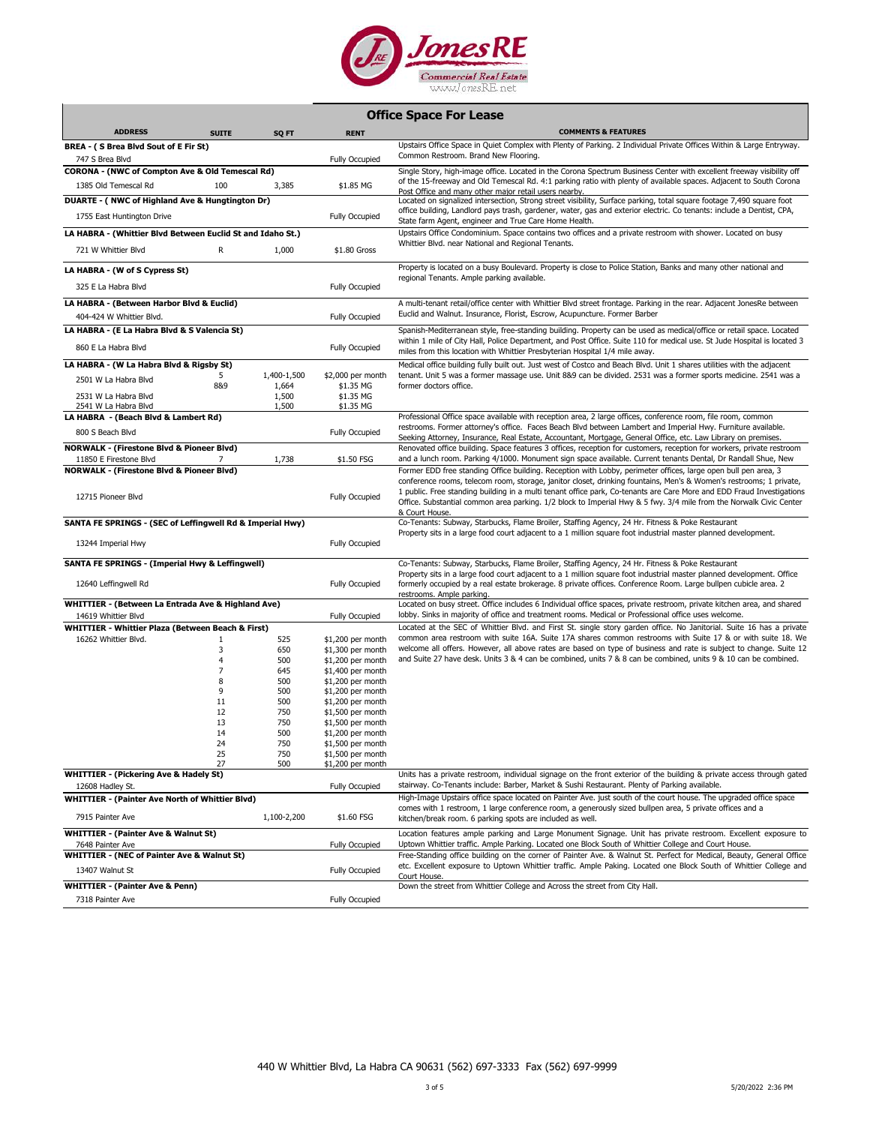

|  | <b>Office Space For Lease</b> |  |  |
|--|-------------------------------|--|--|
|--|-------------------------------|--|--|

| <b>ADDRESS</b>                                                             | <b>SUITE</b>                     | SQ FT          | <b>RENT</b>                            | <b>COMMENTS &amp; FEATURES</b>                                                                                                                                                                                                                                                                                                                                                                                                                                                                        |
|----------------------------------------------------------------------------|----------------------------------|----------------|----------------------------------------|-------------------------------------------------------------------------------------------------------------------------------------------------------------------------------------------------------------------------------------------------------------------------------------------------------------------------------------------------------------------------------------------------------------------------------------------------------------------------------------------------------|
| BREA - (S Brea Blvd Sout of E Fir St)                                      |                                  |                |                                        | Upstairs Office Space in Quiet Complex with Plenty of Parking. 2 Individual Private Offices Within & Large Entryway.                                                                                                                                                                                                                                                                                                                                                                                  |
| 747 S Brea Blvd                                                            |                                  |                | Fully Occupied                         | Common Restroom. Brand New Flooring.                                                                                                                                                                                                                                                                                                                                                                                                                                                                  |
| CORONA - (NWC of Compton Ave & Old Temescal Rd)                            |                                  |                |                                        | Single Story, high-image office. Located in the Corona Spectrum Business Center with excellent freeway visibility off                                                                                                                                                                                                                                                                                                                                                                                 |
| 1385 Old Temescal Rd                                                       | 100                              | 3,385          | \$1.85 MG                              | of the 15-freeway and Old Temescal Rd. 4:1 parking ratio with plenty of available spaces. Adjacent to South Corona                                                                                                                                                                                                                                                                                                                                                                                    |
|                                                                            |                                  |                |                                        | Post Office and many other major retail users nearby.                                                                                                                                                                                                                                                                                                                                                                                                                                                 |
| DUARTE - (NWC of Highland Ave & Hungtington Dr)                            |                                  |                |                                        | Located on signalized intersection, Strong street visibility, Surface parking, total square footage 7,490 square foot<br>office building, Landlord pays trash, gardener, water, gas and exterior electric. Co tenants: include a Dentist, CPA,                                                                                                                                                                                                                                                        |
| 1755 East Huntington Drive                                                 |                                  |                | <b>Fully Occupied</b>                  | State farm Agent, engineer and True Care Home Health.                                                                                                                                                                                                                                                                                                                                                                                                                                                 |
| LA HABRA - (Whittier Blvd Between Euclid St and Idaho St.)                 |                                  |                |                                        | Upstairs Office Condominium. Space contains two offices and a private restroom with shower. Located on busy                                                                                                                                                                                                                                                                                                                                                                                           |
| 721 W Whittier Blvd                                                        | R                                | 1,000          | \$1.80 Gross                           | Whittier Blvd. near National and Regional Tenants.                                                                                                                                                                                                                                                                                                                                                                                                                                                    |
| LA HABRA - (W of S Cypress St)                                             |                                  |                |                                        | Property is located on a busy Boulevard. Property is close to Police Station, Banks and many other national and                                                                                                                                                                                                                                                                                                                                                                                       |
| 325 E La Habra Blvd                                                        |                                  |                | Fully Occupied                         | regional Tenants. Ample parking available.                                                                                                                                                                                                                                                                                                                                                                                                                                                            |
| LA HABRA - (Between Harbor Blvd & Euclid)                                  |                                  |                |                                        | A multi-tenant retail/office center with Whittier Blvd street frontage. Parking in the rear. Adjacent JonesRe between                                                                                                                                                                                                                                                                                                                                                                                 |
| 404-424 W Whittier Blvd.                                                   |                                  |                | <b>Fully Occupied</b>                  | Euclid and Walnut. Insurance, Florist, Escrow, Acupuncture. Former Barber                                                                                                                                                                                                                                                                                                                                                                                                                             |
| LA HABRA - (E La Habra Blvd & S Valencia St)                               |                                  |                |                                        | Spanish-Mediterranean style, free-standing building. Property can be used as medical/office or retail space. Located                                                                                                                                                                                                                                                                                                                                                                                  |
| 860 E La Habra Blvd                                                        |                                  |                | <b>Fully Occupied</b>                  | within 1 mile of City Hall, Police Department, and Post Office. Suite 110 for medical use. St Jude Hospital is located 3<br>miles from this location with Whittier Presbyterian Hospital 1/4 mile away.                                                                                                                                                                                                                                                                                               |
| LA HABRA - (W La Habra Blvd & Rigsby St)                                   |                                  |                |                                        | Medical office building fully built out. Just west of Costco and Beach Blvd. Unit 1 shares utilities with the adjacent                                                                                                                                                                                                                                                                                                                                                                                |
| 2501 W La Habra Blvd                                                       | 5                                | 1,400-1,500    | \$2,000 per month                      | tenant. Unit 5 was a former massage use. Unit 8&9 can be divided. 2531 was a former sports medicine. 2541 was a                                                                                                                                                                                                                                                                                                                                                                                       |
| 2531 W La Habra Blvd                                                       | 8&9                              | 1,664<br>1,500 | \$1.35 MG<br>\$1.35 MG                 | former doctors office.                                                                                                                                                                                                                                                                                                                                                                                                                                                                                |
| 2541 W La Habra Blvd                                                       |                                  | 1,500          | \$1.35 MG                              |                                                                                                                                                                                                                                                                                                                                                                                                                                                                                                       |
| LA HABRA - (Beach Blvd & Lambert Rd)                                       |                                  |                |                                        | Professional Office space available with reception area, 2 large offices, conference room, file room, common                                                                                                                                                                                                                                                                                                                                                                                          |
| 800 S Beach Blvd                                                           |                                  |                | Fully Occupied                         | restrooms. Former attorney's office. Faces Beach Blvd between Lambert and Imperial Hwy. Furniture available.<br>Seeking Attorney, Insurance, Real Estate, Accountant, Mortgage, General Office, etc. Law Library on premises.                                                                                                                                                                                                                                                                         |
| <b>NORWALK - (Firestone Blvd &amp; Pioneer Blvd)</b>                       |                                  |                |                                        | Renovated office building. Space features 3 offices, reception for customers, reception for workers, private restroom                                                                                                                                                                                                                                                                                                                                                                                 |
| 11850 E Firestone Blvd                                                     |                                  | 1,738          | \$1.50 FSG                             | and a lunch room. Parking 4/1000. Monument sign space available. Current tenants Dental, Dr Randall Shue, New                                                                                                                                                                                                                                                                                                                                                                                         |
| <b>NORWALK - (Firestone Blvd &amp; Pioneer Blvd)</b><br>12715 Pioneer Blvd |                                  |                | Fully Occupied                         | Former EDD free standing Office building. Reception with Lobby, perimeter offices, large open bull pen area, 3<br>conference rooms, telecom room, storage, janitor closet, drinking fountains, Men's & Women's restrooms; 1 private,<br>1 public. Free standing building in a multi tenant office park, Co-tenants are Care More and EDD Fraud Investigations<br>Office. Substantial common area parking. 1/2 block to Imperial Hwy & 5 fwy. 3/4 mile from the Norwalk Civic Center<br>& Court House. |
| SANTA FE SPRINGS - (SEC of Leffingwell Rd & Imperial Hwy)                  |                                  |                |                                        | Co-Tenants: Subway, Starbucks, Flame Broiler, Staffing Agency, 24 Hr. Fitness & Poke Restaurant                                                                                                                                                                                                                                                                                                                                                                                                       |
| 13244 Imperial Hwy                                                         |                                  |                | <b>Fully Occupied</b>                  | Property sits in a large food court adjacent to a 1 million square foot industrial master planned development.                                                                                                                                                                                                                                                                                                                                                                                        |
| SANTA FE SPRINGS - (Imperial Hwy & Leffingwell)                            |                                  |                |                                        | Co-Tenants: Subway, Starbucks, Flame Broiler, Staffing Agency, 24 Hr. Fitness & Poke Restaurant                                                                                                                                                                                                                                                                                                                                                                                                       |
| 12640 Leffingwell Rd                                                       |                                  |                | Fully Occupied                         | Property sits in a large food court adjacent to a 1 million square foot industrial master planned development. Office<br>formerly occupied by a real estate brokerage. 8 private offices. Conference Room. Large bullpen cubicle area. 2<br>restrooms. Ample parking.                                                                                                                                                                                                                                 |
| WHITTIER - (Between La Entrada Ave & Highland Ave)                         |                                  |                |                                        | Located on busy street. Office includes 6 Individual office spaces, private restroom, private kitchen area, and shared                                                                                                                                                                                                                                                                                                                                                                                |
| 14619 Whittier Blvd                                                        |                                  |                | <b>Fully Occupied</b>                  | lobby. Sinks in majority of office and treatment rooms. Medical or Professional office uses welcome.                                                                                                                                                                                                                                                                                                                                                                                                  |
| WHITTIER - Whittier Plaza (Between Beach & First)                          |                                  |                |                                        | Located at the SEC of Whittier Blvd. and First St. single story garden office. No Janitorial. Suite 16 has a private                                                                                                                                                                                                                                                                                                                                                                                  |
| 16262 Whittier Blvd.                                                       | 1                                | 525            | $$1,200$ per month                     | common area restroom with suite 16A. Suite 17A shares common restrooms with Suite 17 & or with suite 18. We                                                                                                                                                                                                                                                                                                                                                                                           |
|                                                                            | 3                                | 650            | \$1,300 per month                      | welcome all offers. However, all above rates are based on type of business and rate is subject to change. Suite 12                                                                                                                                                                                                                                                                                                                                                                                    |
|                                                                            | $\overline{4}$<br>$\overline{7}$ | 500            | \$1,200 per month                      | and Suite 27 have desk. Units 3 & 4 can be combined, units 7 & 8 can be combined, units 9 & 10 can be combined.                                                                                                                                                                                                                                                                                                                                                                                       |
|                                                                            | 8                                | 645<br>500     | \$1,400 per month<br>\$1,200 per month |                                                                                                                                                                                                                                                                                                                                                                                                                                                                                                       |
|                                                                            | 9                                | 500            | \$1,200 per month                      |                                                                                                                                                                                                                                                                                                                                                                                                                                                                                                       |
|                                                                            | 11                               | 500            | $$1,200$ per month                     |                                                                                                                                                                                                                                                                                                                                                                                                                                                                                                       |
|                                                                            | 12                               | 750            | $$1,500$ per month                     |                                                                                                                                                                                                                                                                                                                                                                                                                                                                                                       |
|                                                                            | 13                               | 750            | \$1,500 per month                      |                                                                                                                                                                                                                                                                                                                                                                                                                                                                                                       |
|                                                                            | 14                               | 500            | \$1,200 per month                      |                                                                                                                                                                                                                                                                                                                                                                                                                                                                                                       |
|                                                                            | 24                               | 750            | \$1,500 per month                      |                                                                                                                                                                                                                                                                                                                                                                                                                                                                                                       |
|                                                                            | 25                               | 750<br>500     | \$1,500 per month<br>\$1,200 per month |                                                                                                                                                                                                                                                                                                                                                                                                                                                                                                       |
| <b>WHITTIER - (Pickering Ave &amp; Hadely St)</b>                          |                                  |                |                                        | Units has a private restroom, individual signage on the front exterior of the building & private access through gated                                                                                                                                                                                                                                                                                                                                                                                 |
| 12608 Hadley St.                                                           |                                  |                | <b>Fully Occupied</b>                  | stairway. Co-Tenants include: Barber, Market & Sushi Restaurant. Plenty of Parking available.                                                                                                                                                                                                                                                                                                                                                                                                         |
| <b>WHITTIER - (Painter Ave North of Whittier Blvd)</b>                     |                                  |                |                                        | High-Image Upstairs office space located on Painter Ave. just south of the court house. The upgraded office space<br>comes with 1 restroom, 1 large conference room, a generously sized bullpen area, 5 private offices and a                                                                                                                                                                                                                                                                         |
| 7915 Painter Ave                                                           |                                  | 1,100-2,200    | \$1.60 FSG                             | kitchen/break room. 6 parking spots are included as well.                                                                                                                                                                                                                                                                                                                                                                                                                                             |
| <b>WHITTIER - (Painter Ave &amp; Walnut St)</b><br>7648 Painter Ave        |                                  |                | <b>Fully Occupied</b>                  | Location features ample parking and Large Monument Signage. Unit has private restroom. Excellent exposure to<br>Uptown Whittier traffic. Ample Parking. Located one Block South of Whittier College and Court House.                                                                                                                                                                                                                                                                                  |
| <b>WHITTIER - (NEC of Painter Ave &amp; Walnut St)</b>                     |                                  |                |                                        | Free-Standing office building on the corner of Painter Ave. & Walnut St. Perfect for Medical, Beauty, General Office                                                                                                                                                                                                                                                                                                                                                                                  |
| 13407 Walnut St                                                            |                                  |                | <b>Fully Occupied</b>                  | etc. Excellent exposure to Uptown Whittier traffic. Ample Paking. Located one Block South of Whittier College and<br>Court House.                                                                                                                                                                                                                                                                                                                                                                     |
| <b>WHITTIER - (Painter Ave &amp; Penn)</b>                                 |                                  |                |                                        | Down the street from Whittier College and Across the street from City Hall.                                                                                                                                                                                                                                                                                                                                                                                                                           |
| 7318 Painter Ave                                                           |                                  |                | <b>Fully Occupied</b>                  |                                                                                                                                                                                                                                                                                                                                                                                                                                                                                                       |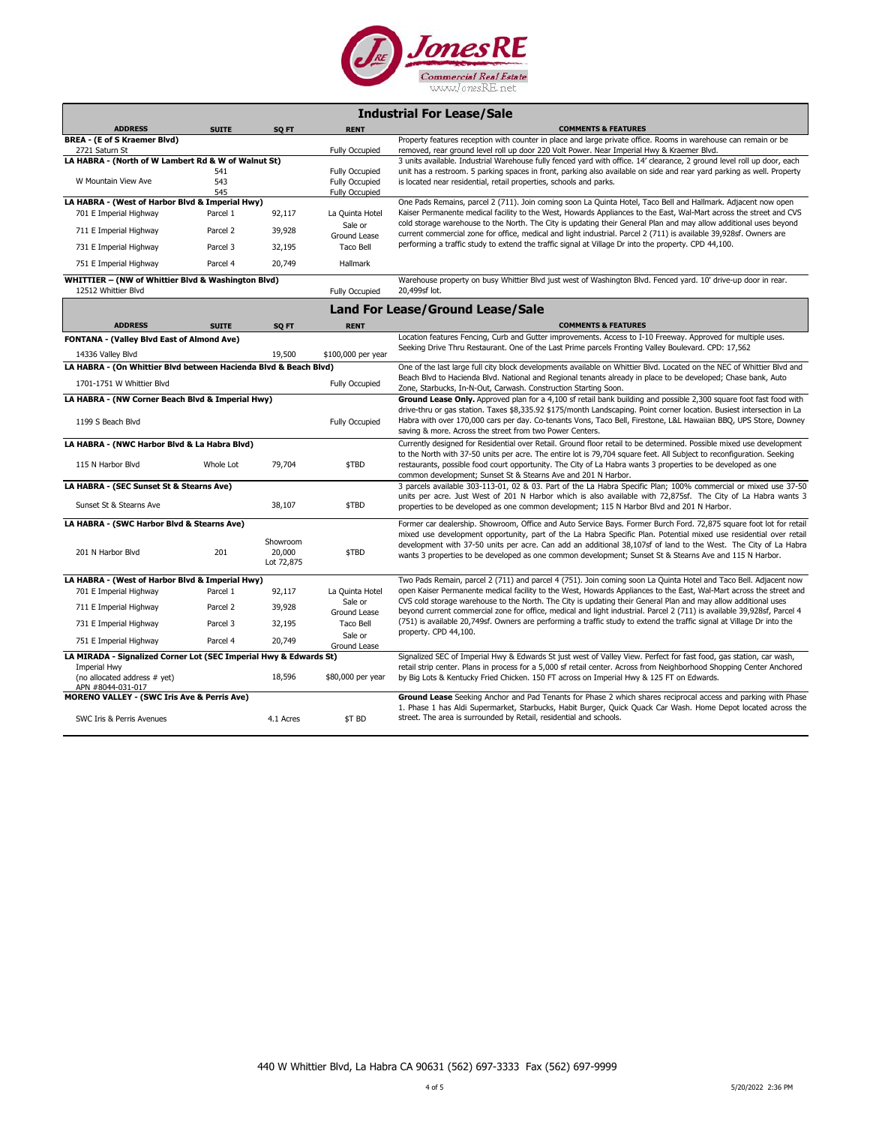

|             | <b>Industrial For Lease/Sale</b> |  |
|-------------|----------------------------------|--|
| <b>RENT</b> |                                  |  |

| <b>ADDRESS</b>                                                                                                                                | <b>SUITE</b> | SQ FT                            | <b>RENT</b>                                    | <b>COMMENTS &amp; FEATURES</b>                                                                                                                                                                                                                                                                                                                   |
|-----------------------------------------------------------------------------------------------------------------------------------------------|--------------|----------------------------------|------------------------------------------------|--------------------------------------------------------------------------------------------------------------------------------------------------------------------------------------------------------------------------------------------------------------------------------------------------------------------------------------------------|
| BREA - (E of S Kraemer Blvd)<br>2721 Saturn St                                                                                                |              |                                  | <b>Fully Occupied</b>                          | Property features reception with counter in place and large private office. Rooms in warehouse can remain or be<br>removed, rear ground level roll up door 220 Volt Power. Near Imperial Hwy & Kraemer Blvd.                                                                                                                                     |
| LA HABRA - (North of W Lambert Rd & W of Walnut St)                                                                                           |              |                                  |                                                | 3 units available. Industrial Warehouse fully fenced yard with office. 14' clearance, 2 ground level roll up door, each                                                                                                                                                                                                                          |
|                                                                                                                                               | 541          |                                  | <b>Fully Occupied</b>                          | unit has a restroom. 5 parking spaces in front, parking also available on side and rear yard parking as well. Property                                                                                                                                                                                                                           |
| W Mountain View Ave                                                                                                                           | 543<br>545   |                                  | <b>Fully Occupied</b><br><b>Fully Occupied</b> | is located near residential, retail properties, schools and parks.                                                                                                                                                                                                                                                                               |
| LA HABRA - (West of Harbor Blvd & Imperial Hwy)                                                                                               |              |                                  |                                                | One Pads Remains, parcel 2 (711). Join coming soon La Quinta Hotel, Taco Bell and Hallmark. Adjacent now open                                                                                                                                                                                                                                    |
| 701 E Imperial Highway                                                                                                                        | Parcel 1     | 92,117                           | La Quinta Hotel<br>Sale or                     | Kaiser Permanente medical facility to the West, Howards Appliances to the East, Wal-Mart across the street and CVS<br>cold storage warehouse to the North. The City is updating their General Plan and may allow additional uses beyond                                                                                                          |
| 711 E Imperial Highway                                                                                                                        | Parcel 2     | 39,928                           | Ground Lease                                   | current commercial zone for office, medical and light industrial. Parcel 2 (711) is available 39,928sf. Owners are                                                                                                                                                                                                                               |
| 731 E Imperial Highway                                                                                                                        | Parcel 3     | 32,195                           | Taco Bell                                      | performing a traffic study to extend the traffic signal at Village Dr into the property. CPD 44,100.                                                                                                                                                                                                                                             |
| 751 E Imperial Highway                                                                                                                        | Parcel 4     | 20,749                           | <b>Hallmark</b>                                |                                                                                                                                                                                                                                                                                                                                                  |
| WHITTIER - (NW of Whittier Blvd & Washington Blvd)<br>12512 Whittier Blvd                                                                     |              |                                  | <b>Fully Occupied</b>                          | Warehouse property on busy Whittier Blvd just west of Washington Blvd. Fenced yard. 10' drive-up door in rear.<br>20,499sf lot.                                                                                                                                                                                                                  |
|                                                                                                                                               |              |                                  |                                                | <b>Land For Lease/Ground Lease/Sale</b>                                                                                                                                                                                                                                                                                                          |
| <b>ADDRESS</b>                                                                                                                                | <b>SUITE</b> | SQ FT                            | <b>RENT</b>                                    | <b>COMMENTS &amp; FEATURES</b>                                                                                                                                                                                                                                                                                                                   |
| <b>FONTANA - (Valley Blvd East of Almond Ave)</b>                                                                                             |              |                                  |                                                | Location features Fencing, Curb and Gutter improvements. Access to I-10 Freeway. Approved for multiple uses.<br>Seeking Drive Thru Restaurant. One of the Last Prime parcels Fronting Valley Boulevard. CPD: 17,562                                                                                                                              |
| 14336 Valley Blvd                                                                                                                             |              | 19,500                           | \$100,000 per year                             |                                                                                                                                                                                                                                                                                                                                                  |
| LA HABRA - (On Whittier Blvd between Hacienda Blvd & Beach Blvd)                                                                              |              |                                  |                                                | One of the last large full city block developments available on Whittier Blvd. Located on the NEC of Whittier Blvd and                                                                                                                                                                                                                           |
| 1701-1751 W Whittier Blvd                                                                                                                     |              |                                  | <b>Fully Occupied</b>                          | Beach Blvd to Hacienda Blvd. National and Regional tenants already in place to be developed; Chase bank, Auto<br>Zone, Starbucks, In-N-Out, Carwash. Construction Starting Soon.                                                                                                                                                                 |
| LA HABRA - (NW Corner Beach Blvd & Imperial Hwy)                                                                                              |              |                                  |                                                | Ground Lease Only. Approved plan for a 4,100 sf retail bank building and possible 2,300 square foot fast food with                                                                                                                                                                                                                               |
| 1199 S Beach Blvd                                                                                                                             |              |                                  | <b>Fully Occupied</b>                          | drive-thru or gas station. Taxes \$8,335.92 \$175/month Landscaping. Point corner location. Busiest intersection in La<br>Habra with over 170,000 cars per day. Co-tenants Vons, Taco Bell, Firestone, L&L Hawaiian BBQ, UPS Store, Downey<br>saving & more. Across the street from two Power Centers.                                           |
| LA HABRA - (NWC Harbor Blvd & La Habra Blvd)                                                                                                  |              |                                  |                                                | Currently designed for Residential over Retail. Ground floor retail to be determined. Possible mixed use development                                                                                                                                                                                                                             |
| 115 N Harbor Blvd                                                                                                                             | Whole Lot    | 79,704                           | \$TBD                                          | to the North with 37-50 units per acre. The entire lot is 79,704 square feet. All Subject to reconfiguration. Seeking<br>restaurants, possible food court opportunity. The City of La Habra wants 3 properties to be developed as one<br>common development; Sunset St & Stearns Ave and 201 N Harbor.                                           |
| LA HABRA - (SEC Sunset St & Stearns Ave)                                                                                                      |              |                                  |                                                | 3 parcels available 303-113-01, 02 & 03. Part of the La Habra Specific Plan; 100% commercial or mixed use 37-50                                                                                                                                                                                                                                  |
| Sunset St & Stearns Ave                                                                                                                       |              | 38,107                           | \$TBD                                          | units per acre. Just West of 201 N Harbor which is also available with 72,875sf. The City of La Habra wants 3<br>properties to be developed as one common development; 115 N Harbor Blvd and 201 N Harbor.                                                                                                                                       |
| LA HABRA - (SWC Harbor Blvd & Stearns Ave)                                                                                                    |              |                                  |                                                | Former car dealership. Showroom, Office and Auto Service Bays. Former Burch Ford. 72,875 square foot lot for retail                                                                                                                                                                                                                              |
| 201 N Harbor Blvd                                                                                                                             | 201          | Showroom<br>20,000<br>Lot 72,875 | \$TBD                                          | mixed use development opportunity, part of the La Habra Specific Plan. Potential mixed use residential over retail<br>development with 37-50 units per acre. Can add an additional 38,107sf of land to the West. The City of La Habra<br>wants 3 properties to be developed as one common development; Sunset St & Stearns Ave and 115 N Harbor. |
| LA HABRA - (West of Harbor Blvd & Imperial Hwy)                                                                                               |              |                                  |                                                | Two Pads Remain, parcel 2 (711) and parcel 4 (751). Join coming soon La Quinta Hotel and Taco Bell. Adjacent now                                                                                                                                                                                                                                 |
| 701 E Imperial Highway                                                                                                                        | Parcel 1     | 92,117                           | La Quinta Hotel                                | open Kaiser Permanente medical facility to the West, Howards Appliances to the East, Wal-Mart across the street and                                                                                                                                                                                                                              |
| 711 E Imperial Highway                                                                                                                        | Parcel 2     | 39,928                           | Sale or<br>Ground Lease                        | CVS cold storage warehouse to the North. The City is updating their General Plan and may allow additional uses<br>beyond current commercial zone for office, medical and light industrial. Parcel 2 (711) is available 39,928sf, Parcel 4                                                                                                        |
| 731 E Imperial Highway                                                                                                                        | Parcel 3     | 32,195                           | Taco Bell                                      | (751) is available 20,749sf. Owners are performing a traffic study to extend the traffic signal at Village Dr into the<br>property. CPD 44,100.                                                                                                                                                                                                  |
| 751 E Imperial Highway                                                                                                                        | Parcel 4     | 20,749                           | Sale or<br>Ground Lease                        |                                                                                                                                                                                                                                                                                                                                                  |
| LA MIRADA - Signalized Corner Lot (SEC Imperial Hwy & Edwards St)<br><b>Imperial Hwy</b><br>(no allocated address # yet)<br>APN #8044-031-017 |              | 18,596                           | \$80,000 per year                              | Signalized SEC of Imperial Hwy & Edwards St just west of Valley View. Perfect for fast food, gas station, car wash,<br>retail strip center. Plans in process for a 5,000 sf retail center. Across from Neighborhood Shopping Center Anchored<br>by Big Lots & Kentucky Fried Chicken. 150 FT across on Imperial Hwy & 125 FT on Edwards.         |
| <b>MORENO VALLEY - (SWC Iris Ave &amp; Perris Ave)</b>                                                                                        |              |                                  |                                                | Ground Lease Seeking Anchor and Pad Tenants for Phase 2 which shares reciprocal access and parking with Phase<br>1. Phase 1 has Aldi Supermarket, Starbucks, Habit Burger, Quick Quack Car Wash. Home Depot located across the                                                                                                                   |
| SWC Iris & Perris Avenues                                                                                                                     |              | 4.1 Acres                        | \$T BD                                         | street. The area is surrounded by Retail, residential and schools.                                                                                                                                                                                                                                                                               |